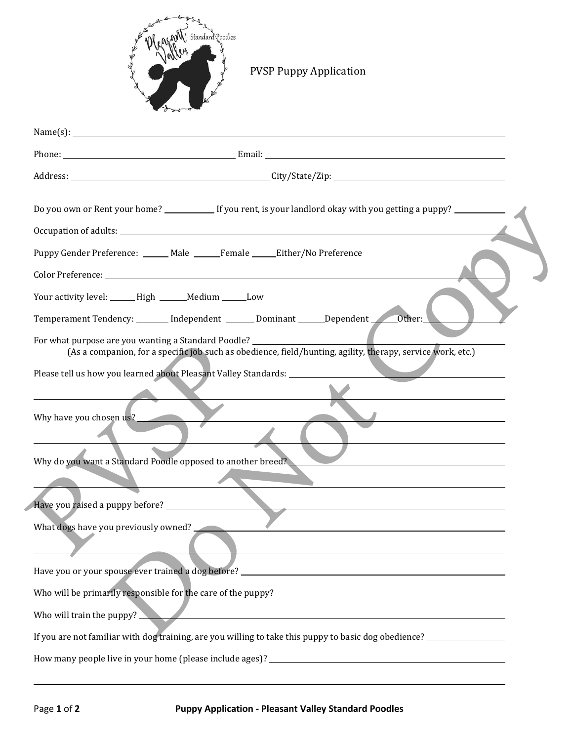

## PVSP Puppy Application

| Name(s): $\qquad \qquad$                                                                                                                                                          |
|-----------------------------------------------------------------------------------------------------------------------------------------------------------------------------------|
|                                                                                                                                                                                   |
|                                                                                                                                                                                   |
|                                                                                                                                                                                   |
|                                                                                                                                                                                   |
| Puppy Gender Preference: _____ Male _____ Female _____ Either/No Preference                                                                                                       |
|                                                                                                                                                                                   |
|                                                                                                                                                                                   |
| Your activity level: ______ High ______ Medium ______ Low                                                                                                                         |
| Temperament Tendency: ______ Independent ______ Dominant ______Dependent ______Other:                                                                                             |
| For what purpose are you wanting a Standard Poodle? ______________<br>(As a companion, for a specific job such as obedience, field/hunting, agility, therapy, service work, etc.) |
| Please tell us how you learned about Pleasant Valley Standards: ________________                                                                                                  |
|                                                                                                                                                                                   |
| Why have you chosen us?                                                                                                                                                           |
|                                                                                                                                                                                   |
| Why do you want a Standard Poodle opposed to another breed?                                                                                                                       |
|                                                                                                                                                                                   |
| Have you raised a puppy before? _________________                                                                                                                                 |
| What dogs have you previously owned?                                                                                                                                              |
|                                                                                                                                                                                   |
| Have you or your spouse ever trained a dog before? ______________________________                                                                                                 |
| Who will be primarily responsible for the care of the puppy?                                                                                                                      |
| Who will train the puppy? $\Box$                                                                                                                                                  |
| If you are not familiar with dog training, are you willing to take this puppy to basic dog obedience? ________________                                                            |
| How many people live in your home (please include ages)?                                                                                                                          |
|                                                                                                                                                                                   |

l